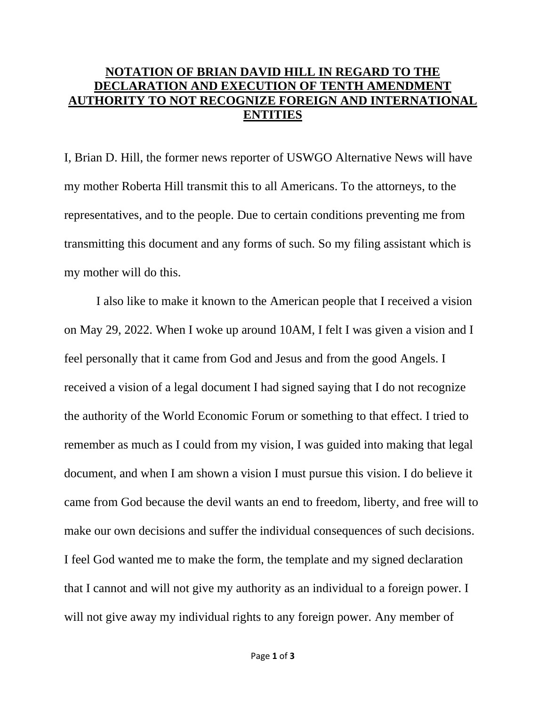## **NOTATION OF BRIAN DAVID HILL IN REGARD TO THE DECLARATION AND EXECUTION OF TENTH AMENDMENT AUTHORITY TO NOT RECOGNIZE FOREIGN AND INTERNATIONAL ENTITIES**

I, Brian D. Hill, the former news reporter of USWGO Alternative News will have my mother Roberta Hill transmit this to all Americans. To the attorneys, to the representatives, and to the people. Due to certain conditions preventing me from transmitting this document and any forms of such. So my filing assistant which is my mother will do this.

I also like to make it known to the American people that I received a vision on May 29, 2022. When I woke up around 10AM, I felt I was given a vision and I feel personally that it came from God and Jesus and from the good Angels. I received a vision of a legal document I had signed saying that I do not recognize the authority of the World Economic Forum or something to that effect. I tried to remember as much as I could from my vision, I was guided into making that legal document, and when I am shown a vision I must pursue this vision. I do believe it came from God because the devil wants an end to freedom, liberty, and free will to make our own decisions and suffer the individual consequences of such decisions. I feel God wanted me to make the form, the template and my signed declaration that I cannot and will not give my authority as an individual to a foreign power. I will not give away my individual rights to any foreign power. Any member of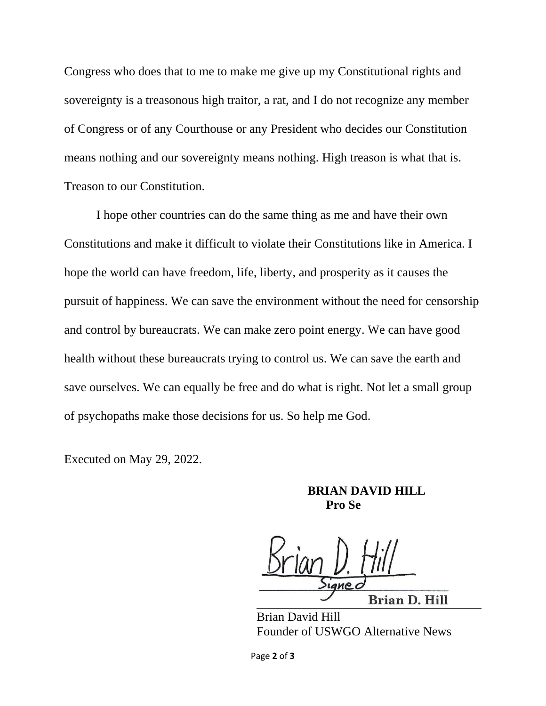Congress who does that to me to make me give up my Constitutional rights and sovereignty is a treasonous high traitor, a rat, and I do not recognize any member of Congress or of any Courthouse or any President who decides our Constitution means nothing and our sovereignty means nothing. High treason is what that is. Treason to our Constitution.

I hope other countries can do the same thing as me and have their own Constitutions and make it difficult to violate their Constitutions like in America. I hope the world can have freedom, life, liberty, and prosperity as it causes the pursuit of happiness. We can save the environment without the need for censorship and control by bureaucrats. We can make zero point energy. We can have good health without these bureaucrats trying to control us. We can save the earth and save ourselves. We can equally be free and do what is right. Not let a small group of psychopaths make those decisions for us. So help me God.

Executed on May 29, 2022.

**BRIAN DAVID HILL Pro Se**

**Brian D. Hill** 

Brian David Hill Founder of USWGO Alternative News